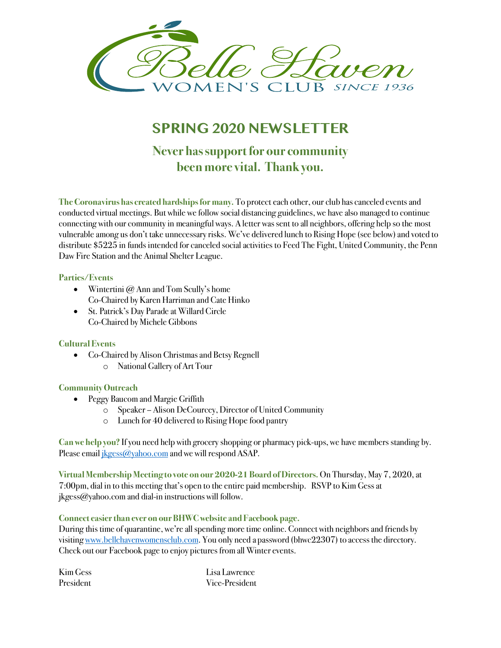

# **SPRING 2020 NEWSLETTER**

# **Never has support for our community been more vital. Thank you.**

**The Coronavirus has created hardships for many.** To protect each other, our club has canceled events and conducted virtual meetings. But while we follow social distancing guidelines, we have also managed to continue connecting with our community in meaningful ways. A letter was sent to all neighbors, offering help so the most vulnerable among us don't take unnecessary risks. We've delivered lunch to Rising Hope (see below) and voted to distribute \$5225 in funds intended for canceled social activities to Feed The Fight, United Community, the Penn Daw Fire Station and the Animal Shelter League.

## **Parties/Events**

- Wintertini @ Ann and Tom Scully's home Co-Chaired by Karen Harriman and Cate Hinko
- St. Patrick's Day Parade at Willard Circle Co-Chaired by Michele Gibbons

### **Cultural Events**

- Co-Chaired by Alison Christmas and Betsy Regnell
	- o National Gallery of Art Tour

### **Community Outreach**

- Peggy Baucom and Margie Griffith
	- o Speaker Alison DeCourcey, Director of United Community
	- o Lunch for 40 delivered to Rising Hope food pantry

**Can we help you?** If you need help with grocery shopping or pharmacy pick-ups, we have members standing by. Please email jkgess@yahoo.com and we will respond ASAP.

**Virtual Membership Meeting to vote on our 2020-21 Board of Directors.** On Thursday, May 7, 2020, at 7:00pm, dial in to this meeting that's open to the entire paid membership. RSVP to Kim Gess at jkgess@yahoo.com and dial-in instructions will follow.

### **Connect easier than ever on our BHWC website and Facebook page.**

During this time of quarantine, we're all spending more time online. Connect with neighbors and friends by visiting www.bellehavenwomensclub.com. You only need a password (bhwc22307) to access the directory. Check out our Facebook page to enjoy pictures from all Winter events.

| Kim Gess  | Lisa Lawrence  |
|-----------|----------------|
| President | Vice-President |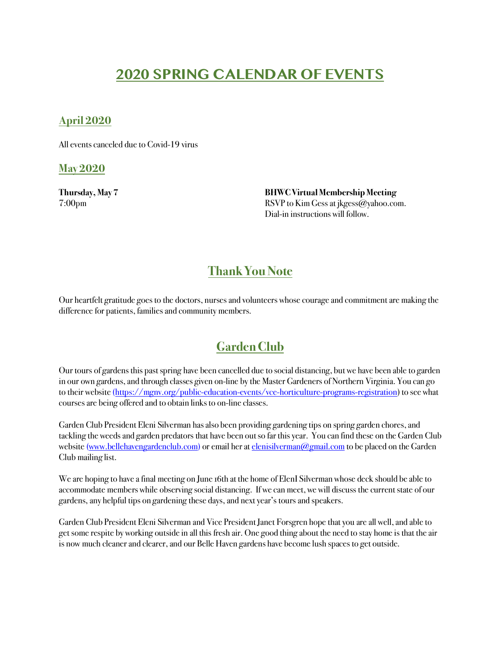# **2020 SPRING CALENDAR OF EVENTS**

## **April 2020**

All events canceled due to Covid-19 virus

**May 2020**

**Thursday, May 7 BHWC Virtual Membership Meeting**  7:00pm RSVP to Kim Gess at jkgess@yahoo.com. Dial-in instructions will follow.

# **Thank You Note**

Our heartfelt gratitude goes to the doctors, nurses and volunteers whose courage and commitment are making the difference for patients, families and community members.

# **Garden Club**

Our tours of gardens this past spring have been cancelled due to social distancing, but we have been able to garden in our own gardens, and through classes given on-line by the Master Gardeners of Northern Virginia. You can go to their website (https://mgnv.org/public-education-events/vce-horticulture-programs-registration) to see what courses are being offered and to obtain links to on-line classes.

Garden Club President Eleni Silverman has also been providing gardening tips on spring garden chores, and tackling the weeds and garden predators that have been out so far this year. You can find these on the Garden Club website (www.bellehavengardenclub.com) or email her at elenisilverman@gmail.com to be placed on the Garden Club mailing list.

We are hoping to have a final meeting on June 16th at the home of ElenI Silverman whose deck should be able to accommodate members while observing social distancing. If we can meet, we will discuss the current state of our gardens, any helpful tips on gardening these days, and next year's tours and speakers.

Garden Club President Eleni Silverman and Vice President Janet Forsgren hope that you are all well, and able to get some respite by working outside in all this fresh air. One good thing about the need to stay home is that the air is now much cleaner and clearer, and our Belle Haven gardens have become lush spaces to get outside.